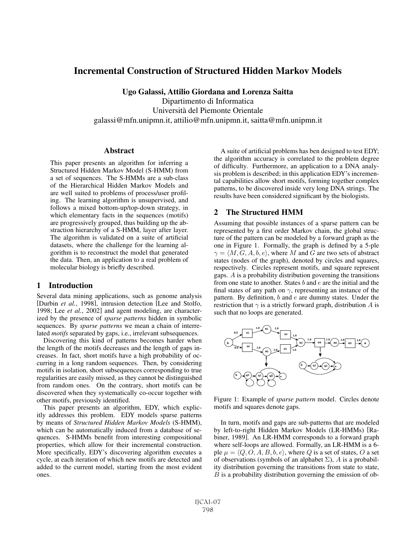# Incremental Construction of Structured Hidden Markov Models

Ugo Galassi, Attilio Giordana and Lorenza Saitta Dipartimento di Informatica Università del Piemonte Orientale galassi@mfn.unipmn.it, attilio@mfn.unipmn.it, saitta@mfn.unipmn.it

### **Abstract**

This paper presents an algorithm for inferring a Structured Hidden Markov Model (S-HMM) from a set of sequences. The S-HMMs are a sub-class of the Hierarchical Hidden Markov Models and are well suited to problems of process/user profiling. The learning algorithm is unsupervised, and follows a mixed bottom-up/top-down strategy, in which elementary facts in the sequences (motifs) are progressively grouped, thus building up the abstraction hierarchy of a S-HMM, layer after layer. The algorithm is validated on a suite of artificial datasets, where the challenge for the learning algorithm is to reconstruct the model that generated the data. Then, an application to a real problem of molecular biology is briefly described.

### 1 Introduction

Several data mining applications, such as genome analysis [Durbin *et al.*, 1998], intrusion detection [Lee and Stolfo, 1998; Lee *et al.*, 2002] and agent modeling, are characterized by the presence of *sparse patterns* hidden in symbolic sequences. By *sparse patterns* we mean a chain of interrelated *motifs* separated by gaps, i.e., irrelevant subsequences.

Discovering this kind of patterns becomes harder when the length of the motifs decreases and the length of gaps increases. In fact, short motifs have a high probability of occurring in a long random sequences. Then, by considering motifs in isolation, short subsequences corresponding to true regularities are easily missed, as they cannot be distinguished from random ones. On the contrary, short motifs can be discovered when they systematically co-occur together with other motifs, previously identified.

This paper presents an algorithm, EDY, which explicitly addresses this problem. EDY models sparse patterns by means of *Structured Hidden Markov Models* (S-HMM), which can be automatically induced from a database of sequences. S-HMMs benefit from interesting compositional properties, which allow for their incremental construction. More specifically, EDY's discovering algorithm executes a cycle, at each iteration of which new motifs are detected and added to the current model, starting from the most evident ones.

A suite of artificial problems has ben designed to test EDY; the algorithm accuracy is correlated to the problem degree of difficulty. Furthermore, an application to a DNA analysis problem is described; in this application EDY's incremental capabilities allow short motifs, forming together complex patterns, to be discovered inside very long DNA strings. The results have been considered significant by the biologists.

# 2 The Structured HMM

Assuming that possible instances of a sparse pattern can be represented by a first order Markov chain, the global structure of the pattern can be modeled by a forward graph as the one in Figure 1. Formally, the graph is defined by a 5-ple  $\gamma = \langle M, G, A, b, e \rangle$ , where M and G are two sets of abstract states (nodes of the graph), denoted by circles and squares, respectively. Circles represent motifs, and square represent gaps. A is a probability distribution governing the transitions from one state to another. States  $b$  and  $e$  are the initial and the final states of any path on  $\gamma$ , representing an instance of the pattern. By definition,  $b$  and  $e$  are dummy states. Under the restriction that  $\gamma$  is a strictly forward graph, distribution A is such that no loops are generated.



Figure 1: Example of *sparse pattern* model. Circles denote motifs and squares denote gaps.

In turn, motifs and gaps are sub-patterns that are modeled by left-to-right Hidden Markov Models (LR-HMMs) [Rabiner, 1989]. An LR-HMM corresponds to a forward graph where self-loops are allowed. Formally, an LR-HMM is a 6 ple  $\mu = \langle Q, O, A, B, b, e \rangle$ , where  $Q$  is a set of states,  $O$  a set of observations (symbols of an alphabet  $\Sigma$ ), A is a probability distribution governing the transitions from state to state,  $B$  is a probability distribution governing the emission of ob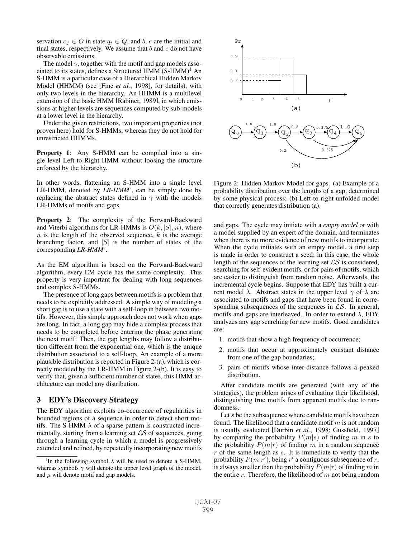servation  $o_j \in O$  in state  $q_i \in Q$ , and b, e are the initial and final states, respectively. We assume that  $b$  and  $e$  do not have observable emissions.

The model  $\gamma$ , together with the motif and gap models associated to its states, defines a Structured HMM  $(S-HMM)^1$  An S-HMM is a particular case of a Hierarchical Hidden Markov Model (HHMM) (see [Fine *et al.*, 1998], for details), with only two levels in the hierarchy. An HHMM is a multilevel extension of the basic HMM [Rabiner, 1989], in which emissions at higher levels are sequences computed by sub-models at a lower level in the hierarchy.

Under the given restrictions, two important properties (not proven here) hold for S-HMMs, whereas they do not hold for unrestricted HHMMs.

Property 1: Any S-HMM can be compiled into a single level Left-to-Right HMM without loosing the structure enforced by the hierarchy.

In other words, flattening an S-HMM into a single level LR-HMM, denoted by *LR-HMM'*, can be simply done by replacing the abstract states defined in  $\gamma$  with the models LR-HMMs of motifs and gaps.

Property 2: The complexity of the Forward-Backward and Viterbi algorithms for LR-HMMs is  $O(k, |S|, n)$ , where  $n$  is the length of the observed sequence,  $k$  is the average branching factor, and  $|S|$  is the number of states of the corresponding *LR-HMM'*.

As the EM algorithm is based on the Forward-Backward algorithm, every EM cycle has the same complexity. This property is very important for dealing with long sequences and complex S-HMMs.

The presence of long gaps between motifs is a problem that needs to be explicitly addressed. A simple way of modeling a short gap is to use a state with a self-loop in between two motifs. However, this simple approach does not work when gaps are long. In fact, a long gap may hide a complex process that needs to be completed before entering the phase generating the next motif. Then, the gap lengths may follow a distribution different from the exponential one, which is the unique distribution associated to a self-loop. An example of a more plausible distribution is reported in Figure 2-(a), which is correctly modeled by the LR-HMM in Figure 2-(b). It is easy to verify that, given a sufficient number of states, this HMM architecture can model any distribution.

## 3 EDY's Discovery Strategy

The EDY algorithm exploits co-occurence of regularities in bounded regions of a sequence in order to detect short motifs. The S-HMM  $\lambda$  of a sparse pattern is constructed incrementally, starting from a learning set  $\mathcal{LS}$  of sequences, going through a learning cycle in which a model is progressively extended and refined, by repeatedly incorporating new motifs



Figure 2: Hidden Markov Model for gaps. (a) Example of a probability distribution over the lengths of a gap, determined by some physical process; (b) Left-to-right unfolded model that correctly generates distribution (a).

and gaps. The cycle may initiate with a *empty model* or with a model supplied by an expert of the domain, and terminates when there is no more evidence of new motifs to incorporate. When the cycle initiates with an empty model, a first step is made in order to construct a seed; in this case, the whole length of the sequences of the learning set  $\mathcal{LS}$  is considered, searching for self-evident motifs, or for pairs of motifs, which are easier to distinguish from random noise. Afterwards, the incremental cycle begins. Suppose that EDY has built a current model  $\lambda$ . Abstract states in the upper level  $\gamma$  of  $\lambda$  are associated to motifs and gaps that have been found in corresponding subsequences of the sequences in  $\mathcal{LS}$ . In general, motifs and gaps are interleaved. In order to extend  $\lambda$ , EDY analyzes any gap searching for new motifs. Good candidates are:

- 1. motifs that show a high frequency of occurrence;
- 2. motifs that occur at approximately constant distance from one of the gap boundaries;
- 3. pairs of motifs whose inter-distance follows a peaked distribution.

After candidate motifs are generated (with any of the strategies), the problem arises of evaluating their likelihood, distinguishing true motifs from apparent motifs due to randomness.

Let  $s$  be the subsequence where candidate motifs have been found. The likelihood that a candidate motif  $m$  is not random is usually evaluated [Durbin *et al.*, 1998; Gussfield, 1997] by comparing the probability  $P(m|s)$  of finding m in s to the probability  $P(m|r)$  of finding m in a random sequence  $r$  of the same length as  $s$ . It is immediate to verify that the probability  $P(m|r')$ , being r' a contiguous subsequence of r, is always smaller than the probability  $P(m|r)$  of finding m in the entire  $r$ . Therefore, the likelihood of  $m$  not being random

<sup>&</sup>lt;sup>1</sup>In the following symbol  $\lambda$  will be used to denote a S-HMM, whereas symbols  $\gamma$  will denote the upper level graph of the model, and  $\mu$  will denote motif and gap models.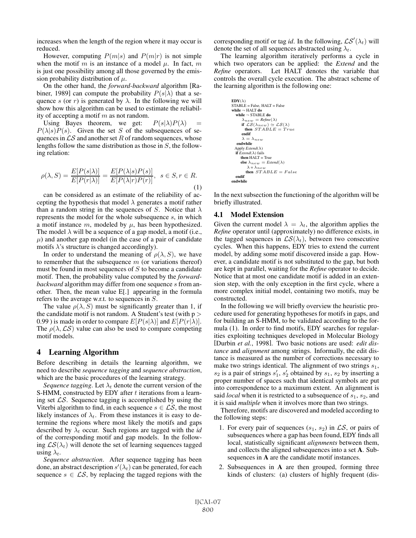increases when the length of the region where it may occur is reduced.

However, computing  $P(m|s)$  and  $P(m|r)$  is not simple when the motif m is an instance of a model  $\mu$ . In fact, m is just one possibility among all those governed by the emission probability distribution of  $\mu$ .

On the other hand, the *forward-backward* algorithm [Rabiner, 1989] can compute the probability  $P(s|\lambda)$  that a sequence s (or r) is generated by  $\lambda$ . In the following we will show how this algorithm can be used to estimate the reliability of accepting a motif  $m$  as not random.

Using Bayes theorem, we get:  $P(s|\lambda)P(\lambda) =$  $P(\lambda|s)P(s)$ . Given the set S of the subsequences of sequences in  $\mathcal{LS}$  and another set R of random sequences, whose lengths follow the same distribution as those in  $S$ , the following relation:

$$
\rho(\lambda, S) = \frac{E[P(s|\lambda)]}{E[P(r|\lambda)]} = \frac{E[P(\lambda|s)P(s)]}{E[P(\lambda|r)P(r)]}, \quad s \in S, r \in R.
$$
\n(1)

can be considered as an estimate of the reliability of accepting the hypothesis that model  $\lambda$  generates a motif rather than a random string in the sequences of S. Notice that  $\lambda$ represents the model for the whole subsequence s, in which a motif instance m, modeled by  $\mu$ , has been hypothesized. The model  $\lambda$  will be a sequence of a gap model, a motif (i.e.,  $\mu$ ) and another gap model (in the case of a pair of candidate motifs  $\lambda$ 's structure is changed accordingly).

In order to understand the meaning of  $\rho(\lambda, S)$ , we have to remember that the subsequence  $m$  (or variations thereof) must be found in most sequences of  $S$  to become a candidate motif. Then, the probability value computed by the *forwardbackward* algorithm may differ from one sequence s from another. Then, the mean value E[.] appearing in the formula refers to the average w.r.t. to sequences in S.

The value  $\rho(\lambda, S)$  must be significantly greater than 1, if the candidate motif is not random. A Student's test (with  $p >$ 0.99) is made in order to compare  $E[P(s|\lambda)]$  and  $E[P(r|\lambda)]$ . The  $\rho(\lambda, \mathcal{LS})$  value can also be used to compare competing motif models.

# 4 Learning Algorithm

Before describing in details the learning algorithm, we need to describe *sequence tagging* and *sequence abstraction*, which are the basic procedures of the learning strategy.

*Sequence tagging.* Let  $\lambda_t$  denote the current version of the S-HMM, constructed by EDY after  $t$  iterations from a learning set  $\mathcal{LS}$ . Sequence tagging is accomplished by using the Viterbi algorithm to find, in each sequence  $s \in \mathcal{LS}$ , the most likely instances of  $\lambda_t$ . From these instances it is easy to determine the regions where most likely the motifs and gaps described by  $\lambda_t$  occur. Such regions are tagged with the *id* of the corresponding motif and gap models. In the following  $LS(\lambda_t)$  will denote the set of learning sequences tagged using  $\lambda_t$ .

*Sequence abstraction*. After sequence tagging has been done, an abstract description  $s'(\lambda_t)$  can be generated, for each sequence  $s \in \mathcal{LS}$ , by replacing the tagged regions with the

corresponding motif or tag *id*. In the following,  $\mathcal{LS}'(\lambda_t)$  will denote the set of all sequences abstracted using  $\lambda_t$ .

The learning algorithm iteratively performs a cycle in which two operators can be applied: the *Extend* and the *Refine* operators. Let HALT denotes the variable that controls the overall cycle execution. The abstract scheme of the learning algorithm is the following one:

```
EDY(\lambda)STABLE = False, HALT = False
while \neg HALT do
   while \neg STABLE do
         \lambda_{new} = \text{Refine}(\lambda)<br>
if \mathcal{LS}(\lambda_{new}) \simeq \mathcal{LS}(\lambda)<br>
then STABLE = Trueendif
        \lambda = \lambda_{new}endwhile
   Apply Extend(λ)
   ifExtend(\lambda) fails
       then HALT = True
       else\lambda_{\,new} = \mathit{Extend}(\lambda)\lambda = \lambda_{neq}then STABLE = Falseendif
endwhile
```
In the next subsection the functioning of the algorithm will be briefly illustrated.

#### 4.1 Model Extension

Given the current model  $\lambda = \lambda_t$ , the algorithm applies the *Refine* operator until (approximately) no difference exists, in the tagged sequences in  $LS(\lambda_t)$ , between two consecutive cycles. When this happens, EDY tries to extend the current model, by adding some motif discovered inside a gap. However, a candidate motif is not substituted to the gap, but both are kept in parallel, waiting for the *Refine* operator to decide. Notice that at most one candidate motif is added in an extension step, with the only exception in the first cycle, where a more complex initial model, containing two motifs, may be constructed.

In the following we will briefly overview the heuristic procedure used for generating hypotheses for motifs in gaps, and for building an S-HMM, to be validated according to the formula (1). In order to find motifs, EDY searches for regularities exploiting techniques developed in Molecular Biology [Durbin *et al.*, 1998]. Two basic notions are used: *edit distance* and *alignment* among strings. Informally, the edit distance is measured as the number of corrections necessary to make two strings identical. The alignment of two strings  $s_1$ ,  $s_2$  is a pair of strings  $s'_1$ ,  $s'_2$  obtained by  $s_1$ ,  $s_2$  by inserting a proper number of spaces such that identical symbols are put into correspondence to a maximum extent. An alignment is said *local* when it is restricted to a subsequence of  $s_1$ ,  $s_2$ , and it is said *multiple* when it involves more than two strings.

Therefore, motifs are discovered and modeled according to the following steps:

- 1. For every pair of sequences  $(s_1, s_2)$  in  $\mathcal{LS}$ , or pairs of subsequences where a gap has been found, EDY finds all local, statistically significant *alignments* between them, and collects the aligned subsequences into a set A. Subsequences in A are the candidate motif instances.
- 2. Subsequences in A are then grouped, forming three kinds of clusters: (a) clusters of highly frequent (dis-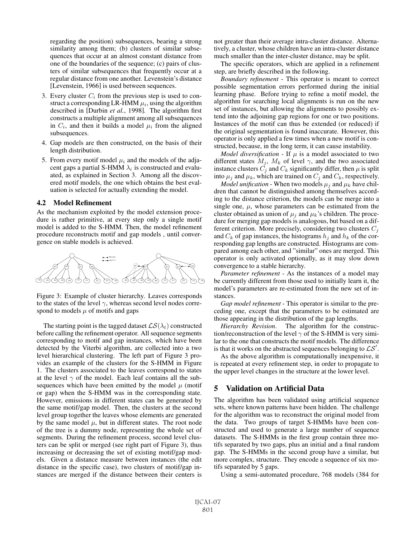regarding the position) subsequences, bearing a strong similarity among them; (b) clusters of similar subsequences that occur at an almost constant distance from one of the boundaries of the sequence; (c) pairs of clusters of similar subsequences that frequently occur at a regular distance from one another. Levenstein's distance [Levenstein, 1966] is used between sequences.

- 3. Every cluster  $C_i$  from the previous step is used to construct a corresponding LR-HMM  $\mu_i$ , using the algorithm described in [Durbin *et al.*, 1998]. The algorithm first constructs a multiple alignment among all subsequences in  $C_i$ , and then it builds a model  $\mu_i$  from the aligned subsequences.
- 4. Gap models are then constructed, on the basis of their length distribution.
- 5. From every motif model  $\mu_i$  and the models of the adjacent gaps a partial S-HMM  $\lambda_i$  is constructed and evaluated, as explained in Section 3. Among all the discovered motif models, the one which obtains the best evaluation is selected for actually extending the model.

#### 4.2 Model Refinement

As the mechanism exploited by the model extension procedure is rather primitive, at every step only a single motif model is added to the S-HMM. Then, the model refinement procedure reconstructs motif and gap models , until convergence on stable models is achieved.



Figure 3: Example of cluster hierarchy. Leaves corresponds to the states of the level  $\gamma$ , whereas second level nodes correspond to models  $\mu$  of motifs and gaps

The starting point is the tagged dataset  $\mathcal{LS}(\lambda_t)$  constructed before calling the refinement operator. All sequence segments corresponding to motif and gap instances, which have been detected by the Viterbi algorithm, are collected into a two level hierarchical clustering. The left part of Figure 3 provides an example of the clusters for the S-HMM in Figure 1. The clusters associated to the leaves correspond to states at the level  $\gamma$  of the model. Each leaf contains all the subsequences which have been emitted by the model  $\mu$  (motif or gap) when the S-HMM was in the corresponding state. However, emissions in different states can be generated by the same motif/gap model. Then, the clusters at the second level group together the leaves whose elements are generated by the same model  $\mu$ , but in different states. The root node of the tree is a dummy node, representing the whole set of segments. During the refinement process, second level clusters can be split or merged (see right part of Figure 3), thus increasing or decreasing the set of existing motif/gap models. Given a distance measure between instances (the edit distance in the specific case), two clusters of motif/gap instances are merged if the distance between their centers is not greater than their average intra-cluster distance. Alternatively, a cluster, whose children have an intra-cluster distance much smaller than the inter-cluster distance, may be split.

The specific operators, which are applied in a refinement step, are briefly described in the following.

*Boundary refinement* - This operator is meant to correct possible segmentation errors performed during the initial learning phase. Before trying to refine a motif model, the algorithm for searching local alignments is run on the new set of instances, but allowing the alignments to possibly extend into the adjoining gap regions for one or two positions. Instances of the motif can thus be extended (or reduced) if the original segmentation is found inaccurate. However, this operator is only applied a few times when a new motif is constructed, because, in the long term, it can cause instability.

*Model diversification* - If  $\mu$  is a model associated to two different states  $M_j$ ,  $M_k$  of level  $\gamma$ , and the two associated instance clusters  $C_j$  and  $C_k$  significantly differ, then  $\mu$  is split into  $\mu_j$  and  $\mu_k$ , which are trained on  $C_j$  and  $C_k$ , respectively.

*Model unification* - When two models  $\mu_i$  and  $\mu_k$  have children that cannot be distinguished among themselves according to the distance criterion, the models can be merge into a single one,  $\mu$ , whose parameters can be estimated from the cluster obtained as union of  $\mu_i$  and  $\mu_k$ 's children. The procedure for merging gap models is analogous, but based on a different criterion. More precisely, considering two clusters  $C_i$ and  $C_k$  of gap instances, the histograms  $h_i$  and  $h_k$  of the corresponding gap lengths are constructed. Histograms are compared among each other, and "similar" ones are merged. This operator is only activated optionally, as it may slow down convergence to a stable hierarchy.

*Parameter refinement* - As the instances of a model may be currently different from those used to initially learn it, the model's parameters are re-estimated from the new set of instances.

*Gap model refinement* - This operator is similar to the preceding one, except that the parameters to be estimated are those appearing in the distribution of the gap lengths.

*Hierarchy Revision*. The algorithm for the construction/reconstruction of the level  $\gamma$  of the S-HMM is very similar to the one that constructs the motif models. The difference is that it works on the abstracted sequences belonging to  $\mathcal{LS}'$ .

As the above algorithm is computationally inexpensive, it is repeated at every refinement step, in order to propagate to the upper level changes in the structure at the lower level.

## 5 Validation on Artificial Data

The algorithm has been validated using artificial sequence sets, where known patterns have been hidden. The challenge for the algorithm was to reconstruct the original model from the data. Two groups of target S-HMMs have been constructed and used to generate a large number of sequence datasets. The S-HMMs in the first group contain three motifs separated by two gaps, plus an initial and a final random gap. The S-HMMs in the second group have a similar, but more complex, structure. They encode a sequence of six motifs separated by 5 gaps.

Using a semi-automated procedure, 768 models (384 for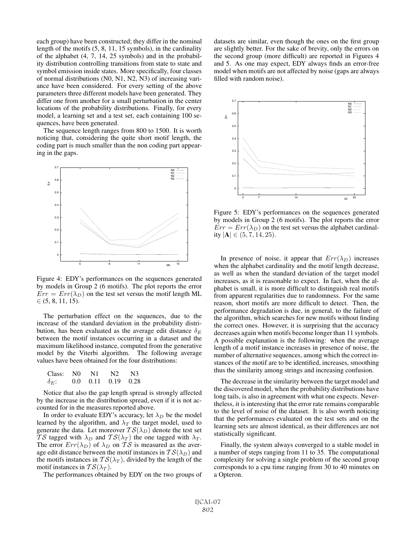each group) have been constructed; they differ in the nominal length of the motifs (5, 8, 11, 15 symbols), in the cardinality of the alphabet (4, 7, 14, 25 symbols) and in the probability distribution controlling transitions from state to state and symbol emission inside states. More specifically, four classes of normal distributions (N0, N1, N2, N3) of increasing variance have been considered. For every setting of the above parameters three different models have been generated. They differ one from another for a small perturbation in the center locations of the probability distributions. Finally, for every model, a learning set and a test set, each containing 100 sequences, have been generated.

The sequence length ranges from 800 to 1500. It is worth noticing that, considering the quite short motif length, the coding part is much smaller than the non coding part appearing in the gaps.



Figure 4: EDY's performances on the sequences generated by models in Group 2 (6 motifs). The plot reports the error  $Err = Err(\lambda_D)$  on the test set versus the motif length ML  $\in (5, 8, 11, 15).$ 

The perturbation effect on the sequences, due to the increase of the standard deviation in the probability distribution, has been evaluated as the average edit distance  $\delta_E$ between the motif instances occurring in a dataset and the maximum likelihood instance, computed from the generative model by the Viterbi algorithm. The following average values have been obtained for the four distributions:

| Class: NO    | - N1 | N <sub>2</sub>             | N <sup>3</sup> |
|--------------|------|----------------------------|----------------|
| $\delta_F$ : |      | $0.0$ $0.11$ $0.19$ $0.28$ |                |

Notice that also the gap length spread is strongly affected by the increase in the distribution spread, even if it is not accounted for in the measures reported above.

In order to evaluate EDY's accuracy, let  $\lambda_D$  be the model learned by the algorithm, and  $\lambda_T$  the target model, used to generate the data. Let moreover  $TS(\lambda_D)$  denote the test set TS tagged with  $\lambda_D$  and  $TS(\lambda_T)$  the one tagged with  $\lambda_T$ . The error  $Err(\lambda_D)$  of  $\lambda_D$  on TS is measured as the average edit distance between the motif instances in  $TS(\lambda_D)$  and the motifs instances in  $TS(\lambda_T)$ , divided by the length of the motif instances in  $TS(\lambda_T)$ .

The performances obtained by EDY on the two groups of

datasets are similar, even though the ones on the first group are slightly better. For the sake of brevity, only the errors on the second group (more difficult) are reported in Figures 4 and 5. As one may expect, EDY always finds an error-free model when motifs are not affected by noise (gaps are always filled with random noise).



Figure 5: EDY's performances on the sequences generated by models in Group 2 (6 motifs). The plot reports the error  $Err = Err(\lambda_D)$  on the test set versus the alphabet cardinality  $|A|$  ∈  $(5, 7, 14, 25)$ .

In presence of noise, it appear that  $Err(\lambda_D)$  increases when the alphabet cardinality and the motif length decrease, as well as when the standard deviation of the target model increases, as it is reasonable to expect. In fact, when the alphabet is small, it is more difficult to distinguish real motifs from apparent regularities due to randomness. For the same reason, short motifs are more difficult to detect. Then, the performance degradation is due, in general, to the failure of the algorithm, which searches for new motifs without finding the correct ones. However, it is surprising that the accuracy decreases again when motifs become longer than 11 symbols. A possible explanation is the following: when the average length of a motif instance increases in presence of noise, the number of alternative sequences, among which the correct instances of the motif are to be identified, increases, smoothing thus the similarity among strings and increasing confusion.

The decrease in the similarity between the target model and the discovered model, when the probability distributions have long tails, is also in agreement with what one expects. Nevertheless, it is interesting that the error rate remains comparable to the level of noise of the dataset. It is also worth noticing that the performances evaluated on the test sets and on the learning sets are almost identical, as their differences are not statistically significant.

Finally, the system always converged to a stable model in a number of steps ranging from 11 to 35. The computational complexity for solving a single problem of the second group corresponds to a cpu time ranging from 30 to 40 minutes on a Opteron.